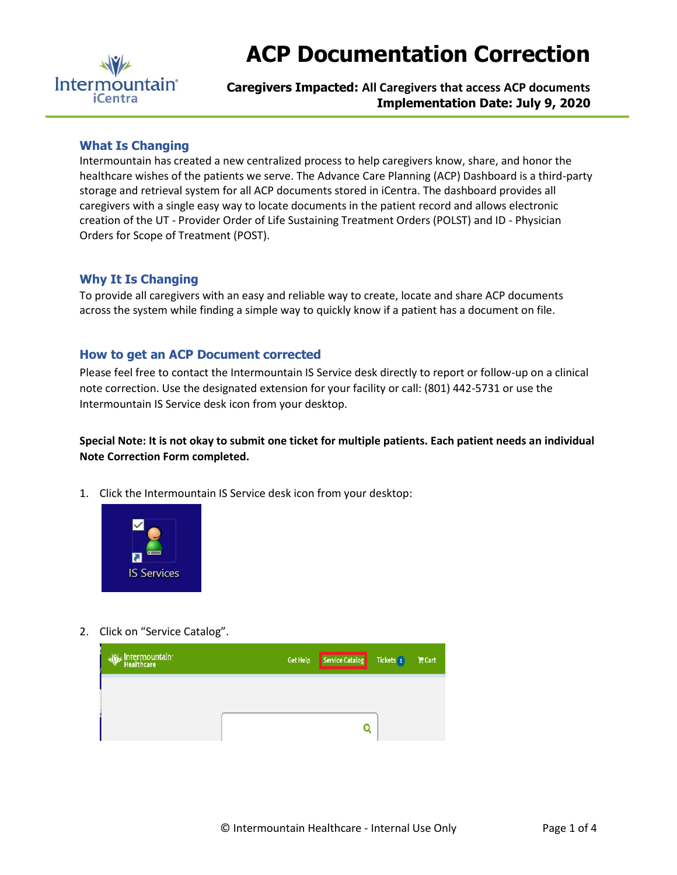

# **ACP Documentation Correction**

# **Caregivers Impacted: All Caregivers that access ACP documents Implementation Date: July 9, 2020**

#### **What Is Changing**

Intermountain has created a new centralized process to help caregivers know, share, and honor the healthcare wishes of the patients we serve. The Advance Care Planning (ACP) Dashboard is a third-party storage and retrieval system for all ACP documents stored in iCentra. The dashboard provides all caregivers with a single easy way to locate documents in the patient record and allows electronic creation of the UT - Provider Order of Life Sustaining Treatment Orders (POLST) and ID - Physician Orders for Scope of Treatment (POST).

#### **Why It Is Changing**

To provide all caregivers with an easy and reliable way to create, locate and share ACP documents across the system while finding a simple way to quickly know if a patient has a document on file.

## **How to get an ACP Document corrected**

Please feel free to contact the Intermountain IS Service desk directly to report or follow-up on a clinical note correction. Use the designated extension for your facility or call: (801) 442-5731 or use the Intermountain IS Service desk icon from your desktop.

**Special Note: It is not okay to submit one ticket for multiple patients. Each patient needs an individual Note Correction Form completed.**

1. Click the Intermountain IS Service desk icon from your desktop:



2. Click on "Service Catalog".

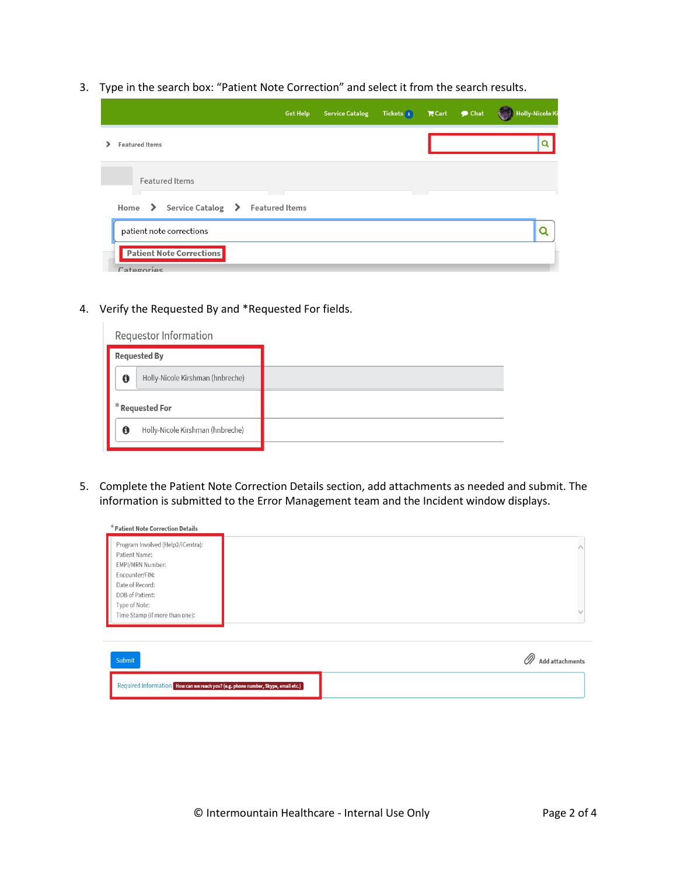3. Type in the search box: "Patient Note Correction" and select it from the search results.

|                                               | <b>Get Help</b> | <b>Service Catalog</b> | Tickets 1 FCart Chat |  | Holly-Nicole Ki |
|-----------------------------------------------|-----------------|------------------------|----------------------|--|-----------------|
| <b>Featured Items</b>                         |                 |                        |                      |  | Q               |
| Featured Items                                |                 |                        |                      |  |                 |
| Home > Service Catalog > Featured Items       |                 |                        |                      |  |                 |
| patient note corrections                      |                 |                        |                      |  |                 |
| <b>Patient Note Corrections</b><br>Categories |                 |                        |                      |  |                 |

4. Verify the Requested By and \*Requested For fields.

|  |                     | Requestor Information            |  |
|--|---------------------|----------------------------------|--|
|  | <b>Requested By</b> |                                  |  |
|  | $\bf \bm \theta$    | Holly-Nicole Kirshman (hnbreche) |  |
|  | * Requested For     |                                  |  |
|  | $\mathbf 0$         | Holly-Nicole Kirshman (hnbreche) |  |
|  |                     |                                  |  |

5. Complete the Patient Note Correction Details section, add attachments as needed and submit. The information is submitted to the Error Management team and the Incident window displays.



| Submit                                                                            | O)<br>Add attachments |
|-----------------------------------------------------------------------------------|-----------------------|
| Required information How can we reach you? (e.g. phone number, Skype, email etc.) |                       |